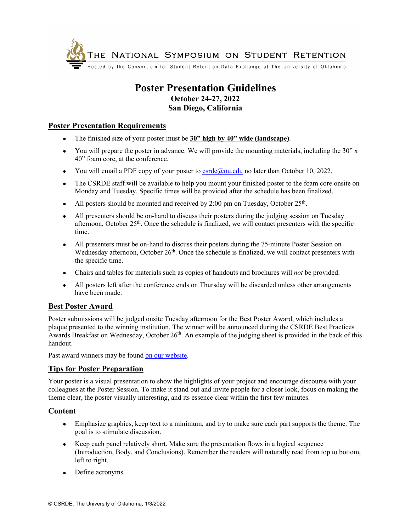

## **Poster Presentation Guidelines October 24-27, 2022 San Diego, California**

### **Poster Presentation Requirements**

- The finished size of your poster must be **30" high by 40" wide (landscape)**.
- You will prepare the poster in advance. We will provide the mounting materials, including the 30" x 40" foam core, at the conference.
- You will email a PDF copy of your poster to  $c<sub>crde</sub>(Qou.edu.$  no later than October 10, 2022.
- The CSRDE staff will be available to help you mount your finished poster to the foam core onsite on Monday and Tuesday. Specific times will be provided after the schedule has been finalized.
- All posters should be mounted and received by 2:00 pm on Tuesday, October  $25<sup>th</sup>$ .
- All presenters should be on-hand to discuss their posters during the judging session on Tuesday afternoon, October  $25<sup>th</sup>$ . Once the schedule is finalized, we will contact presenters with the specific time.
- All presenters must be on-hand to discuss their posters during the 75-minute Poster Session on Wednesday afternoon, October  $26<sup>th</sup>$ . Once the schedule is finalized, we will contact presenters with the specific time.
- Chairs and tables for materials such as copies of handouts and brochures will *not* be provided.
- All posters left after the conference ends on Thursday will be discarded unless other arrangements have been made.

#### **Best Poster Award**

Poster submissions will be judged onsite Tuesday afternoon for the Best Poster Award, which includes a plaque presented to the winning institution. The winner will be announced during the CSRDE Best Practices Awards Breakfast on Wednesday, October 26<sup>th</sup>. An example of the judging sheet is provided in the back of this handout.

Past award winners may be found [on our website.](https://csrde.ou.edu/wp-content/uploads/PastPosters.pdf)

#### **Tips for Poster Preparation**

Your poster is a visual presentation to show the highlights of your project and encourage discourse with your colleagues at the Poster Session. To make it stand out and invite people for a closer look, focus on making the theme clear, the poster visually interesting, and its essence clear within the first few minutes.

#### **Content**

- Emphasize graphics, keep text to a minimum, and try to make sure each part supports the theme. The goal is to stimulate discussion.
- Keep each panel relatively short. Make sure the presentation flows in a logical sequence (Introduction, Body, and Conclusions). Remember the readers will naturally read from top to bottom, left to right.
- Define acronyms.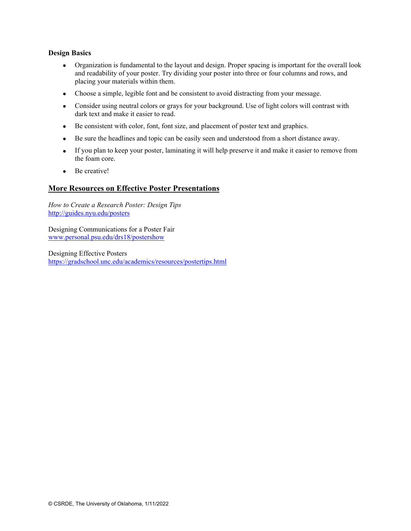#### **Design Basics**

- Organization is fundamental to the layout and design. Proper spacing is important for the overall look and readability of your poster. Try dividing your poster into three or four columns and rows, and placing your materials within them.
- Choose a simple, legible font and be consistent to avoid distracting from your message.
- Consider using neutral colors or grays for your background. Use of light colors will contrast with dark text and make it easier to read.
- Be consistent with color, font, font size, and placement of poster text and graphics.
- Be sure the headlines and topic can be easily seen and understood from a short distance away.
- If you plan to keep your poster, laminating it will help preserve it and make it easier to remove from the foam core.
- Be creative!

#### **More Resources on Effective Poster Presentations**

*How to Create a Research Poster: Design Tips*  http://guides.nyu.edu/posters

Designing Communications for a Poster Fair www.personal.psu.edu/drs18/postershow

Designing Effective Posters https://gradschool.unc.edu/academics/resources/postertips.html